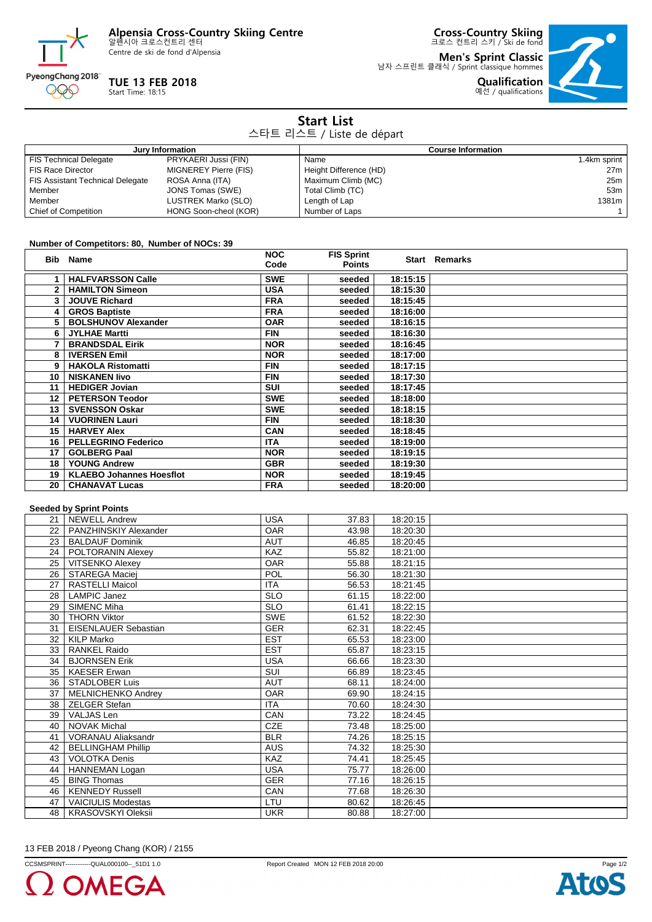**Alpensia Cross-Country Skiing Centre** 알펜시아 크로스컨트리 센터

Centre de ski de fond d'Alpensia



## **TUE 13 FEB 2018**

Start Time: 18:15

**Cross-Country Skiing** 크로스 컨트리 스키 / Ski de fond

**Men's Sprint Classic** 남자 스프린트 클래식 / Sprint classique hommes



| <b>Start List</b><br>스타트 리스트 / Liste de départ |                       |                           |                 |  |
|------------------------------------------------|-----------------------|---------------------------|-----------------|--|
| Jury Information                               |                       | <b>Course Information</b> |                 |  |
| <b>FIS Technical Delegate</b>                  | PRYKAERI Jussi (FIN)  | Name                      | 1.4km sprint    |  |
| <b>FIS Race Director</b>                       | MIGNEREY Pierre (FIS) | Height Difference (HD)    | 27 <sub>m</sub> |  |
| <b>FIS Assistant Technical Delegate</b>        | ROSA Anna (ITA)       | Maximum Climb (MC)        | 25m             |  |
| Member                                         | JONS Tomas (SWE)      | Total Climb (TC)          | 53m             |  |
| Member                                         | LUSTREK Marko (SLO)   | Length of Lap             | 1381m           |  |
| <b>Chief of Competition</b>                    | HONG Soon-cheol (KOR) | Number of Laps            |                 |  |

## **Number of Competitors: 80, Number of NOCs: 39**

|                  | Bib Name                        | <b>NOC</b><br>Code | <b>FIS Sprint</b><br><b>Points</b> |          | <b>Start Remarks</b> |
|------------------|---------------------------------|--------------------|------------------------------------|----------|----------------------|
|                  | <b>HALFVARSSON Calle</b>        | <b>SWE</b>         | seeded                             | 18:15:15 |                      |
|                  | <b>HAMILTON Simeon</b>          | <b>USA</b>         | seeded                             | 18:15:30 |                      |
| 3                | <b>JOUVE Richard</b>            | <b>FRA</b>         | seeded                             | 18:15:45 |                      |
| 4                | <b>GROS Baptiste</b>            | <b>FRA</b>         | seeded                             | 18:16:00 |                      |
| 5.               | <b>BOLSHUNOV Alexander</b>      | <b>OAR</b>         | seeded                             | 18:16:15 |                      |
|                  | <b>JYLHAE Martti</b>            | <b>FIN</b>         | seeded                             | 18:16:30 |                      |
|                  | <b>BRANDSDAL Eirik</b>          | <b>NOR</b>         | seeded                             | 18:16:45 |                      |
| 8                | <b>IVERSEN Emil</b>             | <b>NOR</b>         | seeded                             | 18:17:00 |                      |
| 9                | <b>HAKOLA Ristomatti</b>        | <b>FIN</b>         | seeded                             | 18:17:15 |                      |
| 10               | <b>NISKANEN livo</b>            | <b>FIN</b>         | seeded                             | 18:17:30 |                      |
| 11               | <b>HEDIGER Jovian</b>           | <b>SUI</b>         | seeded                             | 18:17:45 |                      |
| 12 <sup>12</sup> | <b>PETERSON Teodor</b>          | <b>SWE</b>         | seeded                             | 18:18:00 |                      |
| 13 <sup>1</sup>  | <b>SVENSSON Oskar</b>           | <b>SWE</b>         | seeded                             | 18:18:15 |                      |
| 14               | <b>VUORINEN Lauri</b>           | <b>FIN</b>         | seeded                             | 18:18:30 |                      |
| 15               | <b>HARVEY Alex</b>              | CAN                | seeded                             | 18:18:45 |                      |
| 16 <sup>1</sup>  | <b>PELLEGRINO Federico</b>      | <b>ITA</b>         | seeded                             | 18:19:00 |                      |
| 17               | <b>GOLBERG Paal</b>             | <b>NOR</b>         | seeded                             | 18:19:15 |                      |
| 18               | <b>YOUNG Andrew</b>             | <b>GBR</b>         | seeded                             | 18:19:30 |                      |
| 19               | <b>KLAEBO Johannes Hoesflot</b> | <b>NOR</b>         | seeded                             | 18:19:45 |                      |
| 20               | <b>CHANAVAT Lucas</b>           | <b>FRA</b>         | seeded                             | 18:20:00 |                      |

## **Seeded by Sprint Points**

|                 | occaca ny obinir i aniro  |            |       |          |  |
|-----------------|---------------------------|------------|-------|----------|--|
| 21 <sup>1</sup> | <b>NEWELL Andrew</b>      | <b>USA</b> | 37.83 | 18:20:15 |  |
| 22              | PANZHINSKIY Alexander     | <b>OAR</b> | 43.98 | 18:20:30 |  |
| 23              | <b>BALDAUF Dominik</b>    | <b>AUT</b> | 46.85 | 18:20:45 |  |
| 24              | POLTORANIN Alexey         | <b>KAZ</b> | 55.82 | 18:21:00 |  |
| 25              | <b>VITSENKO Alexey</b>    | <b>OAR</b> | 55.88 | 18:21:15 |  |
| 26 <sup>1</sup> | <b>STAREGA Maciej</b>     | POL        | 56.30 | 18:21:30 |  |
| 27              | <b>RASTELLI Maicol</b>    | <b>ITA</b> | 56.53 | 18:21:45 |  |
| 28              | <b>LAMPIC Janez</b>       | <b>SLO</b> | 61.15 | 18:22:00 |  |
| 29              | <b>SIMENC Miha</b>        | <b>SLO</b> | 61.41 | 18:22:15 |  |
| 30              | <b>THORN Viktor</b>       | <b>SWE</b> | 61.52 | 18:22:30 |  |
| 31              | EISENLAUER Sebastian      | <b>GER</b> | 62.31 | 18:22:45 |  |
| 32              | <b>KILP Marko</b>         | <b>EST</b> | 65.53 | 18:23:00 |  |
| 33              | <b>RANKEL Raido</b>       | <b>EST</b> | 65.87 | 18:23:15 |  |
| 34              | <b>BJORNSEN Erik</b>      | <b>USA</b> | 66.66 | 18:23:30 |  |
| 35              | <b>KAESER Erwan</b>       | <b>SUI</b> | 66.89 | 18:23:45 |  |
| 36              | <b>STADLOBER Luis</b>     | <b>AUT</b> | 68.11 | 18:24:00 |  |
| 37              | MELNICHENKO Andrey        | <b>OAR</b> | 69.90 | 18:24:15 |  |
| 38              | <b>ZELGER Stefan</b>      | <b>ITA</b> | 70.60 | 18:24:30 |  |
| 39              | VALJAS Len                | CAN        | 73.22 | 18:24:45 |  |
| 40              | <b>NOVAK Michal</b>       | <b>CZE</b> | 73.48 | 18:25:00 |  |
| 41              | <b>VORANAU Aliaksandr</b> | <b>BLR</b> | 74.26 | 18:25:15 |  |
| 42              | <b>BELLINGHAM Phillip</b> | <b>AUS</b> | 74.32 | 18:25:30 |  |
| 43              | <b>VOLOTKA Denis</b>      | <b>KAZ</b> | 74.41 | 18:25:45 |  |
| 44              | <b>HANNEMAN Logan</b>     | <b>USA</b> | 75.77 | 18:26:00 |  |
| 45              | <b>BING Thomas</b>        | <b>GER</b> | 77.16 | 18:26:15 |  |
| 46              | <b>KENNEDY Russell</b>    | CAN        | 77.68 | 18:26:30 |  |
| 47              | <b>VAICIULIS Modestas</b> | LTU        | 80.62 | 18:26:45 |  |
| 48 l            | <b>KRASOVSKYI Oleksii</b> | <b>UKR</b> | 80.88 | 18:27:00 |  |

13 FEB 2018 / Pyeong Chang (KOR) / 2155

CCSMSPRINT------------QUAL000100--\_51D1 1.0 Report Created MON 12 FEB 2018 20:00